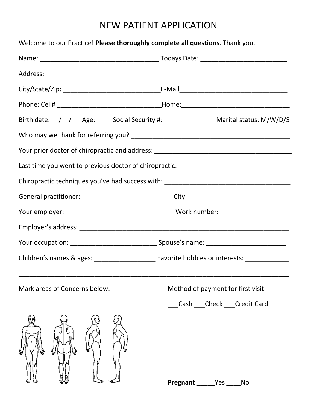## NEW PATIENT APPLICATION

| Welcome to our Practice! Please thoroughly complete all questions. Thank you. |                                                                                                                            |
|-------------------------------------------------------------------------------|----------------------------------------------------------------------------------------------------------------------------|
|                                                                               |                                                                                                                            |
|                                                                               |                                                                                                                            |
|                                                                               |                                                                                                                            |
|                                                                               |                                                                                                                            |
|                                                                               | Birth date: $\frac{1}{\sqrt{2}}$ Age: $\frac{1}{\sqrt{2}}$ Social Security #: $\frac{1}{\sqrt{2}}$ Marital status: M/W/D/S |
|                                                                               |                                                                                                                            |
|                                                                               |                                                                                                                            |
|                                                                               | Last time you went to previous doctor of chiropractic: __________________________                                          |
|                                                                               | Chiropractic techniques you've had success with: _______________________________                                           |
|                                                                               | General practitioner: ______________________________City: _______________________                                          |
|                                                                               |                                                                                                                            |
|                                                                               |                                                                                                                            |
|                                                                               |                                                                                                                            |
|                                                                               |                                                                                                                            |
| Mark areas of Concerns below:                                                 | Method of payment for first visit:                                                                                         |
|                                                                               | Cash Check Credit Card                                                                                                     |
|                                                                               | Pregnant<br>No<br>Yes                                                                                                      |